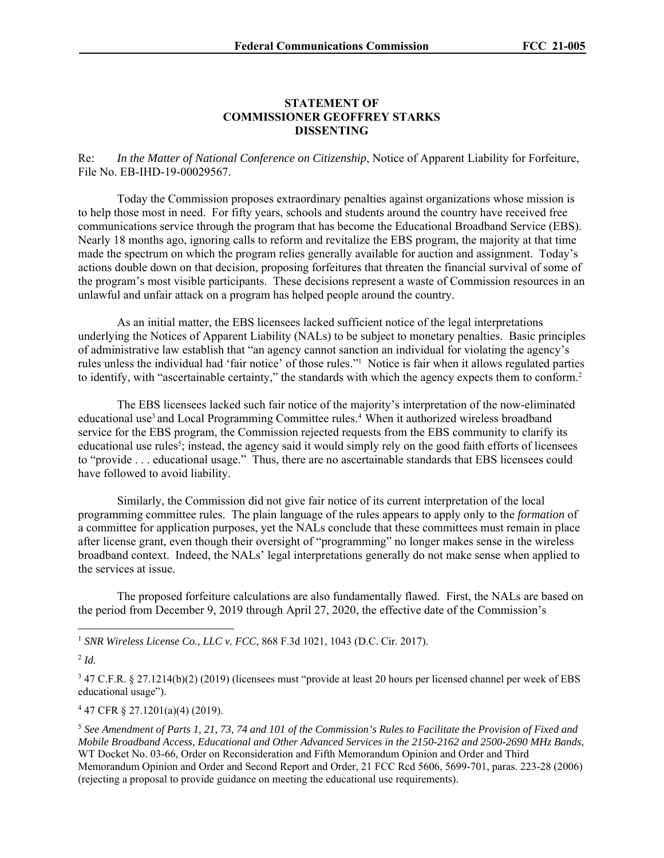## **STATEMENT OF COMMISSIONER GEOFFREY STARKS DISSENTING**

Re: *In the Matter of National Conference on Citizenship*, Notice of Apparent Liability for Forfeiture, File No. EB-IHD-19-00029567.

Today the Commission proposes extraordinary penalties against organizations whose mission is to help those most in need. For fifty years, schools and students around the country have received free communications service through the program that has become the Educational Broadband Service (EBS). Nearly 18 months ago, ignoring calls to reform and revitalize the EBS program, the majority at that time made the spectrum on which the program relies generally available for auction and assignment. Today's actions double down on that decision, proposing forfeitures that threaten the financial survival of some of the program's most visible participants. These decisions represent a waste of Commission resources in an unlawful and unfair attack on a program has helped people around the country.

As an initial matter, the EBS licensees lacked sufficient notice of the legal interpretations underlying the Notices of Apparent Liability (NALs) to be subject to monetary penalties. Basic principles of administrative law establish that "an agency cannot sanction an individual for violating the agency's rules unless the individual had 'fair notice' of those rules."<sup>1</sup> Notice is fair when it allows regulated parties to identify, with "ascertainable certainty," the standards with which the agency expects them to conform.2

The EBS licensees lacked such fair notice of the majority's interpretation of the now-eliminated educational use<sup>3</sup> and Local Programming Committee rules.<sup>4</sup> When it authorized wireless broadband service for the EBS program, the Commission rejected requests from the EBS community to clarify its educational use rules<sup>5</sup>; instead, the agency said it would simply rely on the good faith efforts of licensees to "provide . . . educational usage." Thus, there are no ascertainable standards that EBS licensees could have followed to avoid liability.

Similarly, the Commission did not give fair notice of its current interpretation of the local programming committee rules. The plain language of the rules appears to apply only to the *formation* of a committee for application purposes, yet the NALs conclude that these committees must remain in place after license grant, even though their oversight of "programming" no longer makes sense in the wireless broadband context. Indeed, the NALs' legal interpretations generally do not make sense when applied to the services at issue.

The proposed forfeiture calculations are also fundamentally flawed. First, the NALs are based on the period from December 9, 2019 through April 27, 2020, the effective date of the Commission's

<sup>1</sup> *SNR Wireless License Co., LLC v. FCC*, 868 F.3d 1021, 1043 (D.C. Cir. 2017).

 $^{2}$  *Id.* 

<sup>3</sup> 47 C.F.R. § 27.1214(b)(2) (2019) (licensees must "provide at least 20 hours per licensed channel per week of EBS educational usage").

4 47 CFR § 27.1201(a)(4) (2019).

<sup>5</sup> *See Amendment of Parts 1, 21, 73, 74 and 101 of the Commission's Rules to Facilitate the Provision of Fixed and Mobile Broadband Access, Educational and Other Advanced Services in the 2150-2162 and 2500-2690 MHz Bands*, WT Docket No. 03-66, Order on Reconsideration and Fifth Memorandum Opinion and Order and Third Memorandum Opinion and Order and Second Report and Order, 21 FCC Rcd 5606, 5699-701, paras. 223-28 (2006) (rejecting a proposal to provide guidance on meeting the educational use requirements).